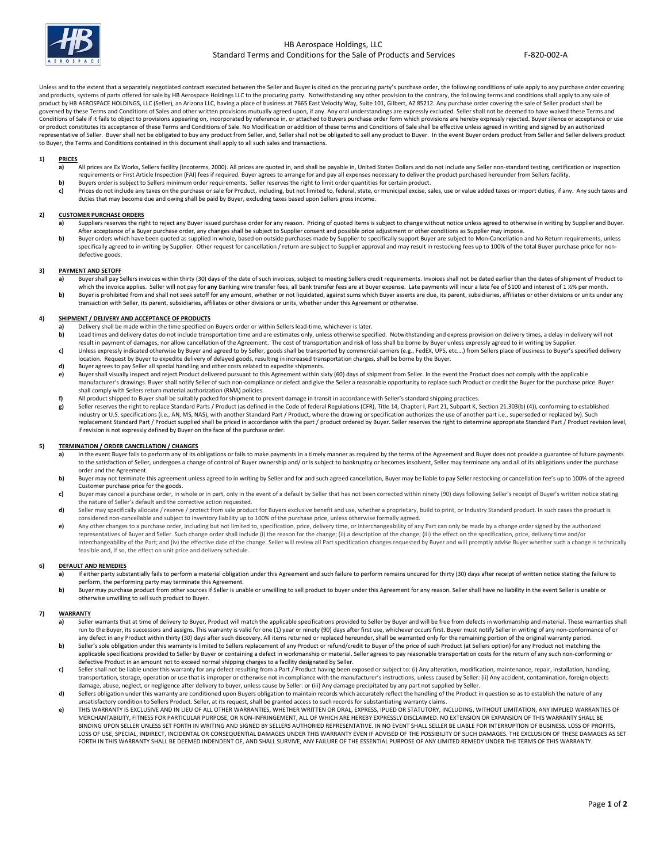

Unless and to the extent that a separately negotiated contract executed between the Seller and Buyer is cited on the procuring party's purchase order, the following conditions of sale apply to any purchase order covering and products, systems of parts offered for sale by HB Aerospace Holdings LLC to the procuring party. Notwithstanding any other provision to the contrary, the following terms and conditions shall apply to any sale of product by HB AEROSPACE HOLDINGS, LLC (Seller), an Arizona LLC, having a place of business at 7665 East Velocity Way, Suite 101, Gilbert, AZ 85212. Any purchase order covering the sale of Seller product shall be governed by these Terms and Conditions of Sales and other written provisions mutually agreed upon, if any. Any oral understandings are expressly excluded. Seller shall not be deemed to have waived these Terms and<br>Condition or product constitutes its acceptance of these Terms and Conditions of Sale. No Modification or addition of these terms and Conditions of Sale shall be effective unless agreed in writing and signed by an authorized representative of Seller. Buyer shall not be obligated to buy any product from Seller, and, Seller shall not be obligated to sell any product to Buyer. In the event Buyer orders product from Seller and Seller delivers prod to Buyer, the Terms and Conditions contained in this document shall apply to all such sales and transactions.

# **1) PRICES**

- **a)** All prices are Ex Works, Sellers facility (Incoterms, 2000). All prices are quoted in, and shall be payable in, United States Dollars and do not include any Seller non-standard testing, certification or inspection requirements or First Article Inspection (FAI) fees if required. Buyer agrees to arrange for and pay all expenses necessary to deliver the product purchased hereunder from Sellers facility.
- **b)** Buyers order is subject to Sellers minimum order requirements. Seller reserves the right to limit order quantities for certain product.
- **c)** Prices do not include any taxes on the purchase or sale for Product, including, but not limited to, federal, state, or municipal excise, sales, use or value added taxes or import duties, if any. Any such taxes and duties that may become due and owing shall be paid by Buyer, excluding taxes based upon Sellers gross income.

## **2) CUSTOMER PURCHASE ORDERS**

- **a)** Suppliers reserves the right to reject any Buyer issued purchase order for any reason. Pricing of quoted items is subject to change without notice unless agreed to otherwise in writing by Supplier and Buyer. After acceptance of a Buyer purchase order, any changes shall be subject to Supplier consent and possible price adjustment or other conditions as Supplier may impose.
- **b**) Buyer orders which have been quoted as supplied in whole, based on outside purchases made by Supplier to specifically support Buyer are subject to Mon-Cancellation and No Return requirements, unless specifically agreed to in writing by Supplier. Other request for cancellation / return are subject to Supplier approval and may result in restocking fees up to 100% of the total Buyer purchase price for nondefective goods.

# **3) PAYMENT AND SETOFF**<br>**a)** Buver shall pay S

- Buyer shall pay Sellers invoices within thirty (30) days of the date of such invoices, subject to meeting Sellers credit requirements. Invoices shall not be dated earlier than the dates of shipment of Product to which the invoice applies. Seller will not pay for **any** Banking wire transfer fees, all bank transfer fees are at Buyer expense. Late payments will incur a late fee of \$100 and interest of 1 ½% per month.
- **b**) Buyer is prohibited from and shall not seek setoff for any amount, whether or not liquidated, against sums which Buyer asserts are due, its parent, subsidiaries, affiliates or other divisions or units under any transaction with Seller, its parent, subsidiaries, affiliates or other divisions or units, whether under this Agreement or otherwise.

## **4) SHIPMENT / DELIVERY AND ACCEPTANCE OF PRODUCTS**

- **a)** Delivery shall be made within the time specified on Buyers order or within Sellers lead-time, whichever is later.<br>**b)** Lead times and delivery dates do not include transportation time and are estimates only, unless ot
- Lead times and delivery dates do not include transportation time and are estimates only, unless otherwise specified. Notwithstanding and express provision on delivery times, a delay in delivery will not lead times and othe result in payment of damages, nor allow cancellation of the Agreement. The cost of transportation and risk of loss shall be borne by Buyer unless expressly agreed to in writing by Supplier.
- **c)** Unless expressly indicated otherwise by Buyer and agreed to by Seller, goods shall be transported by commercial carriers (e.g., FedEX, UPS, etc….) from Sellers place of business to Buyer's specified delivery location. Request by Buyer to expedite delivery of delayed goods, resulting in increased transportation charges, shall be borne by the Buyer.
- **d)** Buyer agrees to pay Seller all special handling and other costs related to expedite shipments.
- **e)** Buyer shall visually inspect and reject Product delivered pursuant to this Agreement within sixty (60) days of shipment from Seller. In the event the Product does not comply with the applicable manufacturer's drawings. Buyer shall notify Seller of such non-compliance or defect and give the Seller a reasonable opportunity to replace such Product or credit the Buyer for the purchase price. Buyer shall comply with Sellers return material authorization (RMA) policies.
- **f)** All product shipped to Buyer shall be suitably packed for shipment to prevent damage in transit in accordance with Seller's standard shipping practices.
- **g)** Seller reserves the right to replace Standard Parts / Product (as defined in the Code of federal Regulations (CFR), Title 14, Chapter I, Part 21, Subpart K, Section 21.303(b) (4)), conforming to established industry or U.S. specifications (i.e., AN, MS, NAS), with another Standard Part / Product, where the drawing or specification authorizes the use of another part i.e., superseded or replaced by). Such replacement Standard Part / Product supplied shall be priced in accordance with the part / product ordered by Buyer. Seller reserves the right to determine appropriate Standard Part / Product revision level, if revision is not expressly defined by Buyer on the face of the purchase order.

#### **5) TERMINATION / ORDER CANCELLATION / CHANGES**

- a) In the event Buyer fails to perform any of its obligations or fails to make payments in a timely manner as required by the terms of the Agreement and Buyer does not provide a guarantee of future payments to the satisfaction of Seller, undergoes a change of control of Buyer ownership and/ or is subject to bankruptcy or becomes insolvent, Seller may terminate any and all of its obligations under the purchase order and the Agreement.
- **b**) Buyer may not terminate this agreement unless agreed to in writing by Seller and for and such agreed cancellation, Buyer may be liable to pay Seller restocking or cancellation fee's up to 100% of the agreed Customer purchase price for the goods.
- **c)** Buyer may cancel a purchase order, in whole or in part, only in the event of a default by Seller that has not been corrected within ninety (90) days following Seller's receipt of Buyer's written notice stating the nature of Seller's default and the corrective action requested.
- **d)** Seller may specifically allocate / reserve / protect from sale product for Buyers exclusive benefit and use, whether a proprietary, build to print, or Industry Standard product. In such cases the product is considered non-cancellable and subject to inventory liability up to 100% of the purchase price, unless otherwise formally agreed.
- e) Any other changes to a purchase order, including but not limited to, specification, price, delivery time, or interchangeability of any Part can only be made by a change order signed by the authorized representatives of Buyer and Seller. Such change order shall include (i) the reason for the change; (ii) a description of the change; (iii) the effect on the specification, price, delivery time and/or interchangeability of the Part; and (iv) the effective date of the change. Seller will review all Part specification changes requested by Buyer and will promptly advise Buyer whether such a change is technically feasible and, if so, the effect on unit price and delivery schedule.

# **6) DEFAULT AND REMEDIES**

- **a)** If either party substantially fails to perform a material obligation under this Agreement and such failure to perform remains uncured for thirty (30) days after receipt of written notice stating the failure to perform, the performing party may terminate this Agreement.
- **b)** Buyer may purchase product from other sources if Seller is unable or unwilling to sell product to buyer under this Agreement for any reason. Seller shall have no liability in the event Seller is unable or otherwise unwilling to sell such product to Buyer.

#### **7) WARRANTY**

- **a)** Seller warrants that at time of delivery to Buyer, Product will match the applicable specifications provided to Seller by Buyer and will be free from defects in workmanship and material. These warranties shall run to the Buyer, its successors and assigns. This warranty is valid for one (1) year or ninety (90) days after first use, whichever occurs first. Buyer must notify Seller in writing of any non-conformance of or any defect in any Product within thirty (30) days after such discovery. All items returned or replaced hereunder, shall be warranted only for the remaining portion of the original warranty period.
- **b)** Seller's sole obligation under this warranty is limited to Sellers replacement of any Product or refund/credit to Buyer of the price of such Product (at Sellers option) for any Product not matching the applicable specifications provided to Seller by Buyer or containing a defect in workmanship or material. Seller agrees to pay reasonable transportation costs for the return of any such non-conforming or defective Product in an amount not to exceed normal shipping charges to a facility designated by Seller.
- **c)** Seller shall not be liable under this warranty for any defect resulting from a Part / Product having been exposed or subject to: (i) Any alteration, modification, maintenance, repair, installation, handling, transportation, storage, operation or use that is improper or otherwise not in compliance with the manufacturer's instructions, unless caused by Seller: (ii) Any accident, contamination, foreign objects damage, abuse, neglect, or negligence after delivery to buyer, unless cause by Seller: or (iii) Any damage precipitated by any part not supplied by Seller.
- d) Sellers obligation under this warranty are conditioned upon Buyers obligation to maintain records which accurately reflect the handling of the Product in question so as to establish the nature of any unsatisfactory condition to Sellers Product. Seller, at its request, shall be granted access to such records for substantiating warranty claims.
- **e)** THIS WARRANTY IS EXCLUSIVE AND IN LIEU OF ALL OTHER WARRANTIES, WHETHER WRITTEN OR ORAL, EXPRESS, IPLIED OR STATUTORY, INCLUDING, WITHOUT LIMITATION, ANY IMPLIED WARRANTIES OF MERCHANTABILITY, FITNESS FOR PARTICULAR PURPOSE, OR NON-INFRINGEMENT, ALL OF WHICH ARE HEREBY EXPRESSLY DISCLAIMED. NO EXTENSION OR EXPANSION OF THIS WARRANTY SHALL BE BINDING UPON SELLER UNLESS SET FORTH IN WRITING AND SIGNED BY SELLERS AUTHORIED REPRESENTATIVE. IN NO EVENT SHALL SELLER BE LIABLE FOR INTERRUPTION OF BUSINESS. LOSS OF PROFITS, LOSS OF USE, SPECIAL, INDIRECT, INCIDENTAL OR CONSEQUENTIAL DAMAGES UNDER THIS WARRANTY EVEN IF ADVISED OF THE POSSIBILITY OF SUCH DAMAGES. THE EXCLUSION OF THESE DAMAGES AS SET FORTH IN THIS WARRANTY SHALL BE DEEMED INDENDENT OF, AND SHALL SURVIVE, ANY FAILURE OF THE ESSENTIAL PURPOSE OF ANY LIMITED REMEDY UNDER THE TERMS OF THIS WARRANTY.